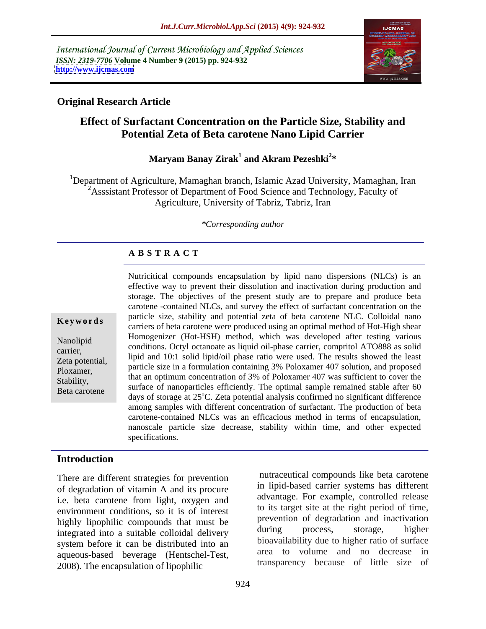International Journal of Current Microbiology and Applied Sciences *ISSN: 2319-7706* **Volume 4 Number 9 (2015) pp. 924-932 <http://www.ijcmas.com>**



### **Original Research Article**

# **Effect of Surfactant Concentration on the Particle Size, Stability and Potential Zeta of Beta carotene Nano Lipid Carrier**

### **Maryam Banay Zirak<sup>1</sup> and Akram Pezeshki<sup>2</sup>\* and Akram Pezeshki<sup>2</sup> \***

<sup>1</sup>Department of Agriculture, Mamaghan branch, Islamic Azad University, Mamaghan, Iran <sup>2</sup>Asssistant Professor of Department of Food Science and Technology, Faculty of Agriculture, University of Tabriz, Tabriz, Iran

### *\*Corresponding author*

### **A B S T R A C T**

Beta carotene

Nutricitical compounds encapsulation by lipid nano dispersions (NLCs) is an effective way to prevent their dissolution and inactivation during production and storage. The objectives of the present study are to prepare and produce beta carotene -contained NLCs, and survey the effect of surfactant concentration on the particle size, stability and potential zeta of beta carotene NLC. Colloidal nano **Keywords** particle size, stability and potential zeta of beta carotene NEC. Conoidal hand carriers of beta carotene were produced using an optimal method of Hot-High shear Homogenizer (Hot-HSH) method, which was developed after testing various Nanolipid Thomogement (100-11311) memod, which was developed after testing various<br>
conditions. Octyl octanoate as liquid oil-phase carrier, compritol ATO888 as solid carrier,<br>
lipid and 10:1 solid lipid/oil phase ratio were used. The results showed the least Zeta potential, The diameters in a formulation containing 3% Poloxamer 407 solution, and proposed particle size in a formulation containing 3% Poloxamer 407 solution, and proposed Ploxamer,<br>
that an optimum concentration of 3% of Poloxamer 407 was sufficient to cover the<br>
Probability Stability,<br>Beta carotana surface of nanoparticles efficiently. The optimal sample remained stable after 60 days of storage at 25°C. Zeta potential analysis confirmed no significant difference among samples with different concentration of surfactant. The production of beta carotene-contained NLCs was an efficacious method in terms of encapsulation, nanoscale particle size decrease, stability within time, and other expected specifications.

### **Introduction**

There are different strategies for prevention of degradation of vitamin A and its procure i.e. beta carotene from light, oxygen and environment conditions, so it is of interest highly lipophilic compounds that must be the prevention of degradation and inactivation<br>integrated into a suitable colloidal delivery during process, storage, higher integrated into a suitable colloidal delivery system before it can be distributed into an aqueous-based beverage (Hentschel-Test, area to volume and no decrease in<br>2008). The encapsulation of lipophilic transparency because of little size of

nutraceutical compounds like beta carotene in lipid-based carrier systems has different advantage. For example, controlled release to its target site at the right period of time, prevention of degradation and inactivation during process, storage, higher bioavailability due to higher ratio of surface area to volume and no decrease in transparency because of little size of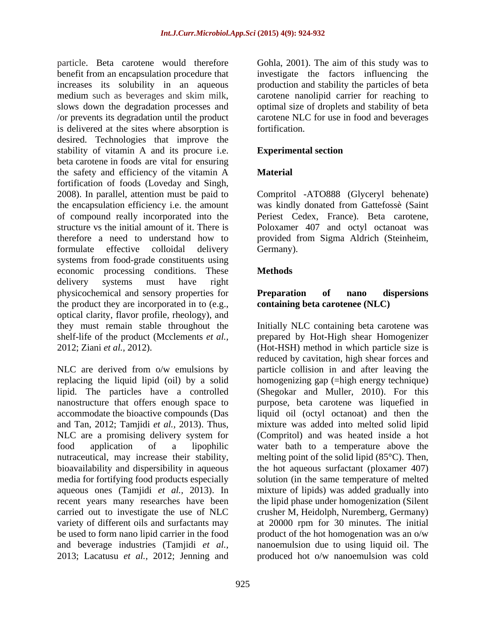particle. Beta carotene would therefore Gohla, 2001). The aim of this study was to benefit from an encapsulation procedure that increases its solubility in an aqueous production and stability the particles of beta medium such as beverages and skim milk, carotene nanolipid carrier for reaching to<br>slows down the degradation processes and optimal size of droplets and stability of beta /or prevents its degradation until the product carotene NLC for use in food and beverages is delivered at the sites where absorption is desired. Technologies that improve the stability of vitamin A and its procure i.e. beta carotene in foods are vital for ensuring the safety and efficiency of the vitamin A fortification of foods (Loveday and Singh,<br>2008). In parallel, attention must be paid to Compritol -ATO888 (Glyceryl behenate) the encapsulation efficiency i.e. the amount was kindly donated from Gattefossè (Saint of compound really incorporated into the structure vs the initial amount of it. There is Poloxamer 407 and octyl octanoat was therefore a need to understand how to provided from Sigma Aldrich (Steinheim, formulate effective colloidal delivery Germany). systems from food-grade constituents using economic processing conditions. These delivery systems must have right physicochemical and sensory properties for **Preparation** of nano dispersions the product they are incorporated in to (e.g., optical clarity, flavor profile, rheology), and shelf-life of the product (Mcclements *et al.,*

NLC are derived from o/w emulsions by NLC are a promising delivery system for 2013; Lacatusu *et al.,* 2012; Jenning and produced hot o/w nanoemulsion was cold

investigate the factors influencing the carotene nanolipid carrier for reaching to optimal size of droplets and stability of beta fortification.

### **Experimental section**

### **Material**

Compritol -ATO888 (Glyceryl behenate) Periest Cedex, France). Beta carotene, Germany).

## **Methods**

### **Preparation of nano dispersions containing beta carotenee (NLC)**

they must remain stable throughout the Initially NLC containing beta carotene was 2012; Ziani *et al.,* 2012). (Hot-HSH) method in which particle size is replacing the liquid lipid (oil) by a solid homogenizing gap (=high energy technique) lipid. The particles have a controlled (Shegokar and Muller, 2010). For this nanostructure that offers enough space to purpose, beta carotene was liquefied in accommodate the bioactive compounds (Das liquid oil (octyl octanoat) and then the and Tan, 2012; Tamjidi *et al.,* 2013). Thus, mixture was added into melted solid lipid food application of a lipophilic water bath to a temperature above the nutraceutical, may increase their stability, melting point of the solid lipid (85°C). Then, bioavailability and dispersibility in aqueous the hot aqueous surfactant (ploxamer 407) media for fortifying food products especially solution (in the same temperature of melted aqueous ones (Tamjidi *et al.,* 2013). In mixture of lipids) was added gradually into recent years many researches have been the lipid phase under homogenization (Silent carried out to investigate the use of NLC crusher M, Heidolph, Nuremberg, Germany) variety of different oils and surfactants may at 20000 rpm for 30 minutes. The initial be used to form nano lipid carrier in the food product of the hot homogenation was an o/w and beverage industries (Tamjidi *et al.,* nanoemulsion due to using liquid oil. The prepared by Hot-High shear Homogenizer reduced by cavitation, high shear forces and particle collision in and after leaving the (Compritol) and was heated inside a hot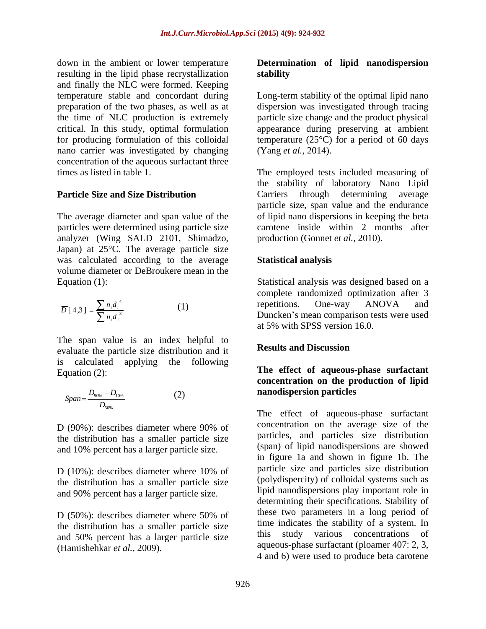down in the ambient or lower temperature **Determination of lipid nanodispersion** resulting in the lipid phase recrystallization stability and finally the NLC were formed. Keeping temperature stable and concordant during Long-term stability of the optimal lipid nano preparation of the two phases, as well as at dispersion was investigated through tracing the time of NLC production is extremely critical. In this study, optimal formulation appearance during preserving at ambient for producing formulation of this colloidal temperature (25°C) for a period of 60 days nano carrier was investigated by changing (Yang *et al.*, 2014). concentration of the aqueous surfactant three

analyzer (Wing SALD 2101, Shimadzo, Japan) at 25°C. The average particle size was calculated according to the average **Statistical analysis** volume diameter or DeBroukere mean in the

$$
\overline{D}[4,3] = \frac{\sum n_i d_i^4}{\sum n_i d_i^3}
$$
 (1)

The span value is an index helpful to<br>conducts the neutrals size distribution and it. **Results and Discussion** evaluate the particle size distribution and it is calculated applying the following Equation (2): Equation (2): **The** effect of **aqueous-phase** surfactant

$$
Span = \frac{D_{90\%} - D_{10\%}}{D_{50\%}}
$$
 (2) nanodisperson particles

the distribution has a smaller particle size and 10% percent has a larger particle size.

the distribution has a smaller particle size and 90% percent has a larger particle size.

the distribution has a smaller particle size the indicates the stability of a system. In and 50% particle size this study various concentrations of and 50% percent has a larger particle size

# **stability**

particle size change and the product physical (Yang *et al.,* 2014).

times as listed in table 1. The employed tests included measuring of **Particle Size and Size Distribution** Carriers through determining average The average diameter and span value of the of lipid nano dispersions in keeping the beta particles were determined using particle size carotene inside within 2 months after the stability of laboratory Nano Lipid particle size, span value and the endurance production (Gonnet *et al.,* 2010).

## **Statistical analysis**

Equation (1):<br>
Statistical analysis was designed based on a<br>
complete randomized optimization after 3<br>  $\overline{D}[4,3] = \frac{\sum n_i d_i^4}{\sum n_i^3}$  (1)<br>
Ouncken's mean comparison tests were used <sup>4</sup> and **reportions** One way ANOVA and  $[4,3] = \frac{\sum_{i=1}^{n} a_i}{3}$  (1)  $\sum$  *i*  $\sum$  *i*  $\sum$  *i*  $\sum$  *i*  $\sum$  *i*  $\sum$  *i*  $\sum$  *i*  $\sum$  *i*  $\sum$  *i*  $\sum$  *i*  $\sum$  *i*  $\sum$  *i*  $\sum$  *i*  $\sum$  *i*  $\sum$  *i*  $\sum$  *i*  $\sum$  *i*  $\sum$  *i*  $\sum$  *i*  $\sum$  *i*  $\sum$  *i*  $\sum$  *i*  $\sum$  *i*  $\sum$  *i*  $\sum$   $\mu_i$  (1) repetitions. One way  $\lambda_i$  for any  $\overline{n_i d_i}$  Duncken's mean comparison tests were used  $n_i d_i^*$  (1) repetitions. One-way ANOVA and  $\overline{D}$ [4,3] =  $\frac{\sum_i n_i n_i}{n_i}$  (1)  $(1)$  repetitions. One-way ANOVA and Statistical analysis was designed based on a complete randomized optimization after 3 repetitions. One-way ANOVA and at 5% with SPSS version 16.0.

### **Results and Discussion**

### $(2)$  nanodispersion particles **concentration on the production of lipid nanodispersion particles**  $\frac{D_{10\%}}{D_{10\%}}$  (2) **EXERCISE EXECUTE EXECUTE**  $D_{\text{90\%}} - D_{10\%}$  (2) **nanodispersion particles**

D (90%): describes diameter where 90% of concentration on the average size of the D (10%): describes diameter where 10% of particle size and particles size distribution D (50%): describes diameter where 50% of these two parameters in a long period of drow the ambient to lowe ten permitter in the continuition of **lipid nanodispersion**<br>
and that) the NAC were formed Accepting **and the set allows the set allows** the NAC were formed that the NAC were formed the set allo The effect of aqueous-phase surfactant concentration on the average size of the particles, and particles size distribution (span) of lipid nanodispersions are showed in figure 1a and shown in figure 1b. The particle size and particles size distribution (polydispercity) of colloidal systems such as lipid nanodispersions play important role in determining their specifications. Stability of these two parameters in a long period of time indicates the stability of a system. In this study various concentrations aqueous-phase surfactant (ploamer 407: 2, 3, <sup>59%</sup><br>
The effect of aqueous-phase surfactant<br>
secribes diameter where 90% of<br>
tion has a smaller particle size<br>
excribes and particles ize distribution<br>
the particle size (span) of lipid nanodispersions are showed<br>
in fi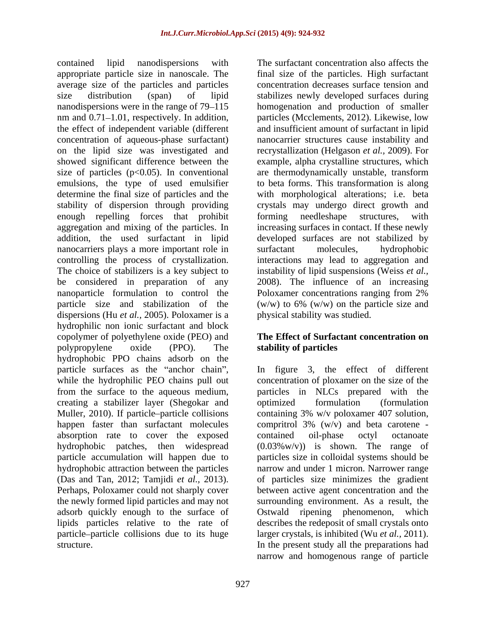contained lipid nanodispersions with The surfactant concentration also affects the appropriate particle size in nanoscale. The final size of the particles. High surfactant average size of the particles and particles size distribution (span) of lipid stabilizes newly developed surfaces during nanodispersions were in the range of 79–115 homogenation and production of smaller nm and 0.71–1.01, respectively. In addition, particles (Mcclements, 2012). Likewise, low the effect of independent variable (different and insufficient amount of surfactant in lipid concentration of aqueous-phase surfactant) nanocarrier structures cause instability and on the lipid size was investigated and recrystallization (Helgason *et al.,* 2009). For showed significant difference between the example, alpha crystalline structures, which size of particles (p<0.05). In conventional are thermodynamically unstable, transform emulsions, the type of used emulsifier determine the final size of particles and the with morphological alterations; i.e. beta stability of dispersion through providing crystals may undergo direct growth and enough repelling forces that prohibit to forming needleshape structures, with aggregation and mixing of the particles. In increasing surfaces in contact. If these newly addition, the used surfactant in lipid developed surfaces are not stabilized by nanocarriers plays a more important role in surfactant molecules, hydrophobic controlling the process of crystallization. interactions may lead to aggregation and The choice of stabilizers is a key subject to instability of lipid suspensions (Weiss *et al.,* be considered in preparation of any 2008). The influence of an increasing nanoparticle formulation to control the Poloxamer concentrations ranging from 2% particle size and stabilization of the (w/w) to 6% (w/w) on the particle size and dispersions (Hu *et al.,* 2005). Poloxamer is a hydrophilic non ionic surfactant and block copolymer of polyethylene oxide (PEO) and polypropylene oxide (PPO). The **stability of particles** hydrophobic PPO chains adsorb on the particle surfaces as the "anchor chain", while the hydrophilic PEO chains pull out concentration of ploxamer on the size of the from the surface to the aqueous medium, creating a stabilizer layer (Shegokar and Muller, 2010). If particle particle collisions containing 3% w/v poloxamer 407 solution, happen faster than surfactant molecules compritrol 3% (w/v) and beta carotene absorption rate to cover the exposed contained oil-phase octyl octanoate hydrophobic patches, then widespread (0.03%w/v)) is shown. The range of particle accumulation will happen due to particles size in colloidal systems should be hydrophobic attraction between the particles narrow and under 1 micron. Narrower range (Das and Tan, 2012; Tamjidi *et al.*, 2013). of particles size minimizes the gradient Perhaps, Poloxamer could not sharply cover between active agent concentration and the the newly formed lipid particles and may not adsorb quickly enough to the surface of lipids particles relative to the rate of describes the redeposit of small crystals onto particle–particle collisions due to its huge larger crystals, is inhibited (Wu *et al.*, 2011).

concentration decreases surface tension and to beta forms. This transformation is along forming needleshape structures, with surfactant molecules, hydrophobic Poloxamer concentrations ranging from 2% physical stability was studied.

### **The Effect of Surfactant concentration on stability of particles**

structure. In the present study all the preparations had In figure 3, the effect of different particles in NLCs prepared with the optimized formulation (formulation contained oil-phase octyl octanoate of particles size minimizes the gradient between active agent concentration and the surrounding environment. As a result, the Ostwald ripening phenomenon, which larger crystals, is inhibited (Wu *et al.,* 2011). In the present study all the preparations had narrow and homogenous range of particle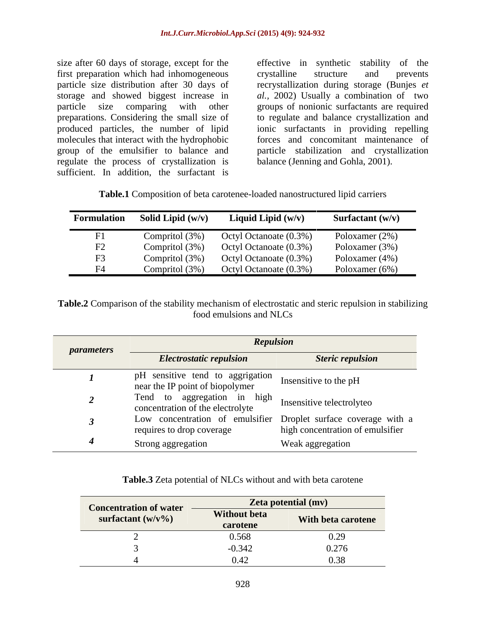size after 60 days of storage, except for the effective in synthetic stability of the first preparation which had inhomogeneous crystalline structure and prevents particle size distribution after 30 days of recrystallization during storage (Bunjes *et*  storage and showed biggest increase in *al.,* 2002) Usually a combination of two particle size comparing with other groups of nonionic surfactants are required preparations. Considering the small size of to regulate and balance crystallization and produced particles, the number of lipid ionic surfactants in providing repelling molecules that interact with the hydrophobic group of the emulsifier to balance and regulate the process of crystallization is sufficient. In addition, the surfactant is

crystalline structure and prevents forces and concomitant maintenance of particle stabilization and crystallization balance (Jenning and Gohla, 2001).

| Table.1 Composition of beta carotenee-le<br>e-loaded nanostructured | lipid carriers |  |  |
|---------------------------------------------------------------------|----------------|--|--|
|                                                                     |                |  |  |

| <b>Formulation</b> | Solid Lipid $(w/v)$ | Liquid Lipid $(w/v)$   | Surfactant $(w/v)$ |
|--------------------|---------------------|------------------------|--------------------|
|                    | Compritol $(3%)$    | Octyl Octanoate (0.3%) | Poloxamer (2%)     |
| F2                 | Compritol (3%)      | Octyl Octanoate (0.3%) | Poloxamer (3%)     |
| F3                 | Compritol (3%)      | Octyl Octanoate (0.3%) | Poloxamer (4%)     |
| FA                 | Compritol (3%)      | Octyl Octanoate (0.3%) | Poloxamer (6%)     |

**Table.2** Comparison of the stability mechanism of electrostatic and steric repulsion in stabilizing food emulsions and NLCs

| <i>parameters</i> | <b>Repulsion</b>                                                                                       |                                  |
|-------------------|--------------------------------------------------------------------------------------------------------|----------------------------------|
|                   | <b>Electrostatic repulsion</b>                                                                         | <b>Steric repulsion</b>          |
|                   | pH sensitive tend to aggrigation<br>near the IP point of biopolymer<br>near the IP point of biopolymer |                                  |
|                   | Tend to aggregation in high<br>concentration of the electrolyte Insensitive telectrolyte<br>o          |                                  |
|                   | Low concentration of emulsifier Droplet surface coverage with a<br>requires to drop coverage           | high concentration of emulsifier |
|                   | Strong aggregation                                                                                     | Weak aggregation                 |

### **Table.3** Zeta potential of NLCs without and with beta carotene

| <b>Concentration of water</b> |                                 | <b>Zeta potential (mv)</b> |  |
|-------------------------------|---------------------------------|----------------------------|--|
| surfactant $(w/v\%)$          | <b>Without beta</b><br>carotene | With beta carotene         |  |
|                               | 0.568                           | 0.27                       |  |
|                               | 0.342                           | 0.27<br>0.276              |  |
|                               | 0.42                            | $\Omega$<br>0.38           |  |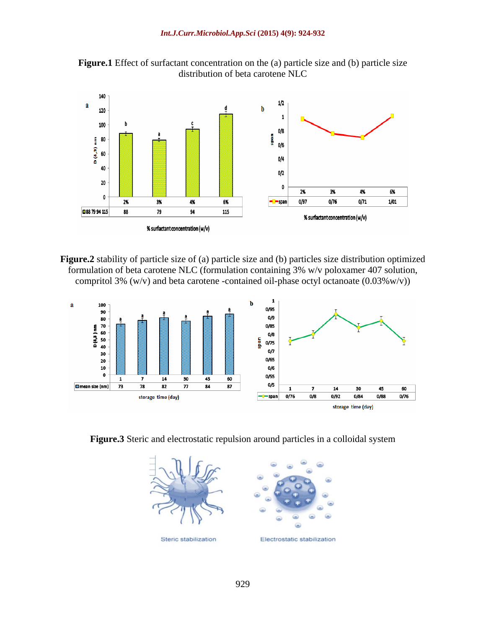



**Figure.2** stability of particle size of (a) particle size and (b) particles size distribution optimized formulation of beta carotene NLC (formulation containing 3% w/v poloxamer 407 solution, compritol 3% (w/v) and beta carotene -contained oil-phase octyl octanoate (0.03%w/v))



**Figure.3** Steric and electrostatic repulsion around particles in a colloidal system

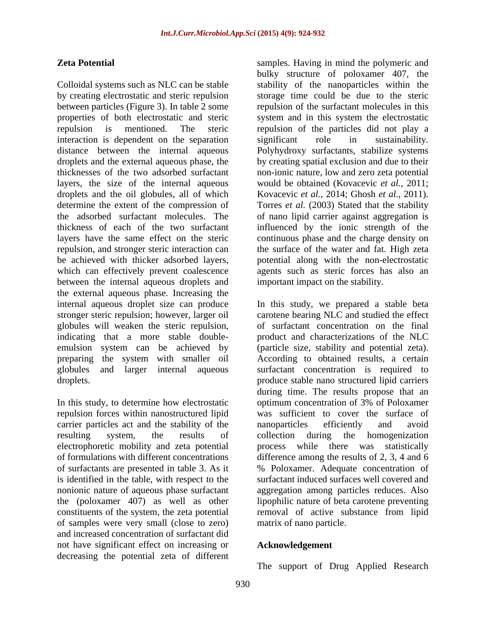Colloidal systems such as NLC can be stable stability of the nanoparticles within the by creating electrostatic and steric repulsion storage time could be due to the steric between particles (Figure 3). In table 2 some repulsion of the surfactant molecules in this properties of both electrostatic and steric system and in this system the electrostatic repulsion is mentioned. The steric repulsion of the particles did not play a interaction is dependent on the separation significant role in sustainability. distance between the internal aqueous Polyhydroxy surfactants, stabilize systems droplets and the external aqueous phase, the by creating spatial exclusion and due to their thicknesses of the two adsorbed surfactant non-ionic nature, low and zero zeta potential layers, the size of the internal aqueous droplets and the oil globules, all of which Kovacevic *et al.*, 2014; Ghosh *et al.*, 2011). determine the extent of the compression of Torres et al. (2003) Stated that the stability the adsorbed surfactant molecules. The of nano lipid carrier against aggregation is thickness of each of the two surfactant influenced by the ionic strength of the layers have the same effect on the steric continuous phase and the charge density on repulsion, and stronger steric interaction can the surface of the water and fat. High zeta be achieved with thicker adsorbed layers, potential along with the non-electrostatic which can effectively prevent coalescence agents such as steric forces has also an between the internal aqueous droplets and the external aqueous phase. Increasing the globules will weaken the steric repulsion, emulsion system can be achieved by (particle size, stability and potential zeta). preparing the system with smaller oil According to obtained results, a certain

repulsion forces within nanostructured lipid carrier particles act and the stability of the of formulations with different concentrations nonionic nature of aqueous phase surfactant of samples were very small (close to zero) and increased concentration of surfactant did not have significant effect on increasing or decreasing the potential zeta of different

**Zeta Potential Examples.** Having in mind the polymeric and bulky structure of poloxamer 407, the significant role in sustainability. would be obtained (Kovacevic *et al.,* 2011; Kovacevic *et al.,* 2014; Ghosh *et al.,* 2011). Torres *et al.* (2003) Stated that the stability important impact on the stability.

internal aqueous droplet size can produce In this study, we prepared a stable beta stronger steric repulsion; however, larger oil carotene bearing NLC and studied the effect indicating that a more stable double- product and characterizations of the NLC globules and larger internal aqueous surfactant concentration is required to droplets. produce stable nano structured lipid carriers In this study, to determine how electrostatic optimum concentration of 3% of Poloxamer resulting system, the results of collection during the homogenization electrophoretic mobility and zeta potential process while there was statistically of surfactants are presented in table 3. As it % Poloxamer. Adequate concentration of is identified in the table, with respect to the surfactant induced surfaces well covered and the (poloxamer 407) as well as other lipophilic nature of beta carotene preventing constituents of the system, the zeta potential removal of active substance from lipid of surfactant concentration on the final (particle size, stability and potential zeta). According to obtained results, <sup>a</sup> certain during time. The results propose that an was sufficient to cover the surface of nanoparticles efficiently and avoid collection during the homogenization difference among the results of 2, 3, 4 and 6 aggregation among particles reduces. Also matrix of nano particle.

### **Acknowledgement**

The support of Drug Applied Research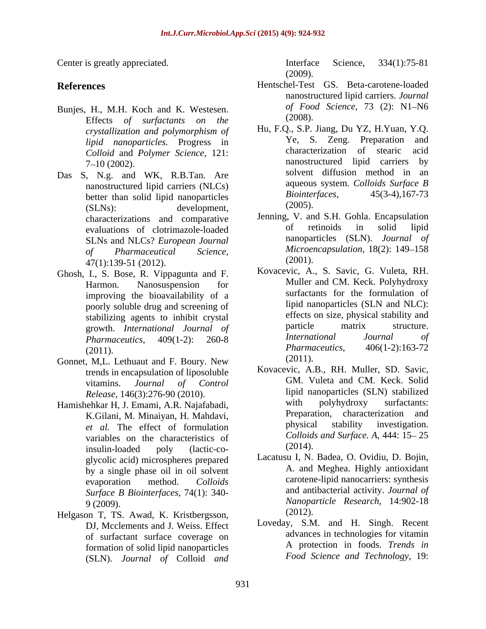- Bunjes, H., M.H. Koch and K. Westesen. of Food<br>Effects of surfactants on the (2008). Effects *of surfactants on the*
- Das S, N.g. and WK, R.B.Tan. Are better than solid lipid nanoparticles  $Biointer$ <br>(SI Ns): development (2005).  $(SLNs):$  development,  $(2005).$ evaluations of clotrimazole-loaded SLNs and NLCs? *European Journal of Pharmaceutical Science*, 47(1):139-51 (2012).
- Ghosh, I., S. Bose, R. Vippagunta and F. improving the bioavailability of a poorly soluble drug and screening of
- Gonnet, M,L. Lethuaut and F. Boury. New (2011). trends in encapsulation of liposoluble
- Hamishehkar H, J. Emami, A.R. Najafabadi, *et al.* The effect of formulation variables on the characteristics of Colloids<br>insulin-loaded poly (lactic-co- (2014). insulin-loaded poly (lactic-co glycolic acid) microspheres prepared by a single phase oil in oil solvent *Surface B Biointerfaces*, 74(1): 340-
- Helgason T, TS. Awad, K. Kristbergsson, (2012). DJ, Mcclements and J. Weiss. Effect of surfactant surface coverage on formation of solid lipid nanoparticles (SLN). *Journal of* Colloid *and*

Center is greatly appreciated. The interface Science, 334(1):75-81 Interface Science*,* 334(1):75-81 (2009).

- **References** Hentschel-Test GS. Beta-carotene-loaded nanostructured lipid carriers. *Journal of Food Science*, 73 (2): N1-N6 (2008).
	- *crystallization and polymorphism of lipid nanoparticles*. Progress in Te, S. Zeng. Preparation and Colloid and Polyman Science 121. *Colloid* and *Polymer Science*, 121:<br> **Colloid** and *Polymer Science*, 121:<br> **Colloid nanostructured** lipid carriers by 7–10 (2002). The nanostructured lipid carriers by a nanostructured lipid carriers by nanostructured lipid carriers (NLCs) aqueous system. Colloids Surface B<br>hetter than solid linid nanoparticles Biointerfaces, 45(3-4), 167-73 Hu, F.Q., S.P. Jiang, Du YZ, H.Yuan, Y.Q. Ye, S. Zeng. Preparation characterization of stearic nanostructured lipid carriers by solvent diffusion method in an aqueous system. *Colloids Surface B Biointerfaces,* 45(3-4),167-73 (2005).
	- characterizations and comparative lenning, V. and S.H. Gohla. Encapsulation<br>evaluations of clotrimazole-loaded of retinoids in solid lipid Jenning, V. and S.H. Gohla. Encapsulation of retinoids in solid lipid nanoparticles (SLN). *Journal of Microencapsulation,* 18(2): 149-158 (2001).
	- Harmon. Nanosuspension for Muller and CM. Keck. Polyhydroxy stabilizing agents to inhibit crystal effects on size, physical stability and<br>
	growth International Journal of particle matrix structure. growth. *International Journal of* particle matrix structure.<br> *Pharmaceutics* 409(1-2): 260-8 *International Journal of Pharmaceutics*, 409(1-2): 260-8  $(2011)$ .  $Pharmacultics, \qquad 406(1-2):163-72$ Kovacevic, A., S. Savic, G. Vuleta, RH. Muller and CM. Keck. Polyhydroxy surfactants for the formulation of lipid nanoparticles (SLN and NLC): effects on size, physical stability and particle matrix structure. *International Journal of Pharmaceutics*, 406(1-2):163-72 (2011).
	- vitamins. *Journal of Control* GM. Vuleta and CM. Keck. Solid *Release*, 146(3):276-90 (2010). The lipid nanoparticles (SLN) stabilized<br>
	rebkar H I Emami A R Najafabadi with polyhydroxy surfactants: K.Gilani, M. Minaiyan, H. Mahdavi,<br>et al. The effect of formulation bysical stability investigation. Kovacevic, A.B., RH. Muller, SD. Savic, lipid nanoparticles (SLN) stabilized with polyhydroxy surfactants: Preparation, characterization and physical stability investigation. *Colloids and Surface. A, 444: 15-25*  $(2014).$
	- evaporation method. *Colloids*  9 (2009). *Nanoparticle Research*, 14:902-18 Lacatusu I, N. Badea, O. Ovidiu, D. Bojin, A. and Meghea. Highly antioxidant carotene-lipid nanocarriers: synthesis and antibacterial activity. *Journal of* (2012).
		- Loveday, S.M. and H. Singh. Recent advances in technologies for vitamin A protection in foods. *Trends in Food Science and Technology*, 19: